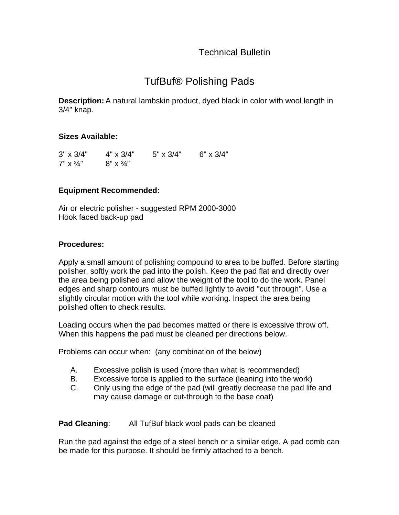Technical Bulletin

## TufBuf® Polishing Pads

**Description:** A natural lambskin product, dyed black in color with wool length in 3/4" knap.

## **Sizes Available:**

| $3" \times 3/4"$        | $4" \times 3/4"$           | $5" \times 3/4"$ | $6" \times 3/4"$ |
|-------------------------|----------------------------|------------------|------------------|
| $7" \times \frac{3}{4"$ | $8'' \times \frac{3}{4}''$ |                  |                  |

## **Equipment Recommended:**

Air or electric polisher - suggested RPM 2000-3000 Hook faced back-up pad

## **Procedures:**

Apply a small amount of polishing compound to area to be buffed. Before starting polisher, softly work the pad into the polish. Keep the pad flat and directly over the area being polished and allow the weight of the tool to do the work. Panel edges and sharp contours must be buffed lightly to avoid "cut through". Use a slightly circular motion with the tool while working. Inspect the area being polished often to check results.

Loading occurs when the pad becomes matted or there is excessive throw off. When this happens the pad must be cleaned per directions below.

Problems can occur when: (any combination of the below)

- A. Excessive polish is used (more than what is recommended)
- B. Excessive force is applied to the surface (leaning into the work)
- C. Only using the edge of the pad (will greatly decrease the pad life and may cause damage or cut-through to the base coat)

**Pad Cleaning:** All TufBuf black wool pads can be cleaned

Run the pad against the edge of a steel bench or a similar edge. A pad comb can be made for this purpose. It should be firmly attached to a bench.